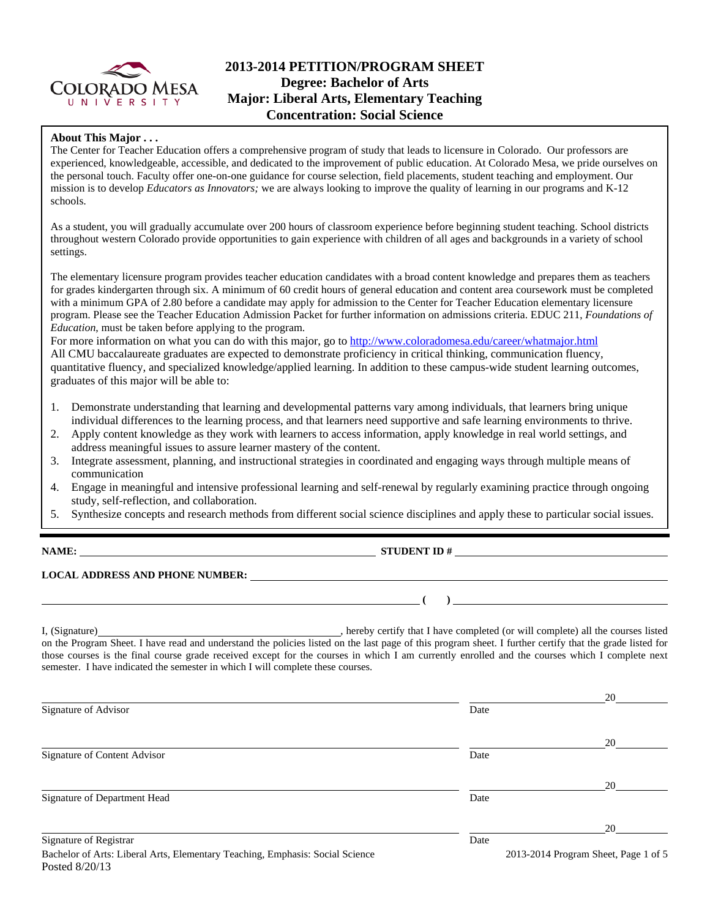

# **2013-2014 PETITION/PROGRAM SHEET Degree: Bachelor of Arts Major: Liberal Arts, Elementary Teaching Concentration: Social Science**

## **About This Major . . .**

**www**  The Center for Teacher Education offers a comprehensive program of study that leads to licensure in Colorado. Our professors are experienced, knowledgeable, accessible, and dedicated to the improvement of public education. At Colorado Mesa, we pride ourselves on the personal touch. Faculty offer one-on-one guidance for course selection, field placements, student teaching and employment. Our mission is to develop *Educators as Innovators;* we are always looking to improve the quality of learning in our programs and K-12 schools.

As a student, you will gradually accumulate over 200 hours of classroom experience before beginning student teaching. School districts throughout western Colorado provide opportunities to gain experience with children of all ages and backgrounds in a variety of school settings.

The elementary licensure program provides teacher education candidates with a broad content knowledge and prepares them as teachers for grades kindergarten through six. A minimum of 60 credit hours of general education and content area coursework must be completed with a minimum GPA of 2.80 before a candidate may apply for admission to the Center for Teacher Education elementary licensure program. Please see the Teacher Education Admission Packet for further information on admissions criteria. EDUC 211, *Foundations of Education*, must be taken before applying to the program.

For more information on what you can do with this major, go to http://www.coloradomesa.edu/career/whatmajor.html All CMU baccalaureate graduates are expected to demonstrate proficiency in critical thinking, communication fluency, quantitative fluency, and specialized knowledge/applied learning. In addition to these campus-wide student learning outcomes, graduates of this major will be able to:

- 1. Demonstrate understanding that learning and developmental patterns vary among individuals, that learners bring unique individual differences to the learning process, and that learners need supportive and safe learning environments to thrive.
- 2. Apply content knowledge as they work with learners to access information, apply knowledge in real world settings, and address meaningful issues to assure learner mastery of the content.
- 3. Integrate assessment, planning, and instructional strategies in coordinated and engaging ways through multiple means of communication
- 4. Engage in meaningful and intensive professional learning and self-renewal by regularly examining practice through ongoing study, self-reflection, and collaboration.
- 5. Synthesize concepts and research methods from different social science disciplines and apply these to particular social issues.

**NAME: STUDENT ID #** 

 **(** ) <u> **(** ) **b** ( )  *(* **) <b>** *(* )  *(* **)** *i* ( *) (* **)** *i* ( *) (* **)** *i* ( *) i* (*) i* (*i* (*) j* (*i* (*) j* (*i* (*) j* (*ii* (*) j* (*ii* (*) j* (*iii* (*) j* (*iii* (*) j* (*iii* </u>

# **LOCAL ADDRESS AND PHONE NUMBER:**

I, (Signature) , hereby certify that I have completed (or will complete) all the courses listed on the Program Sheet. I have read and understand the policies listed on the last page of this program sheet. I further certify that the grade listed for those courses is the final course grade received except for the courses in which I am currently enrolled and the courses which I complete next semester. I have indicated the semester in which I will complete these courses.

|                                                                                                 |      | 20                                   |
|-------------------------------------------------------------------------------------------------|------|--------------------------------------|
| Signature of Advisor                                                                            | Date |                                      |
|                                                                                                 |      | 20                                   |
| Signature of Content Advisor                                                                    | Date |                                      |
|                                                                                                 |      | 20                                   |
| Signature of Department Head                                                                    | Date |                                      |
|                                                                                                 |      | 20                                   |
| Signature of Registrar                                                                          | Date |                                      |
| Bachelor of Arts: Liberal Arts, Elementary Teaching, Emphasis: Social Science<br>Posted 8/20/13 |      | 2013-2014 Program Sheet, Page 1 of 5 |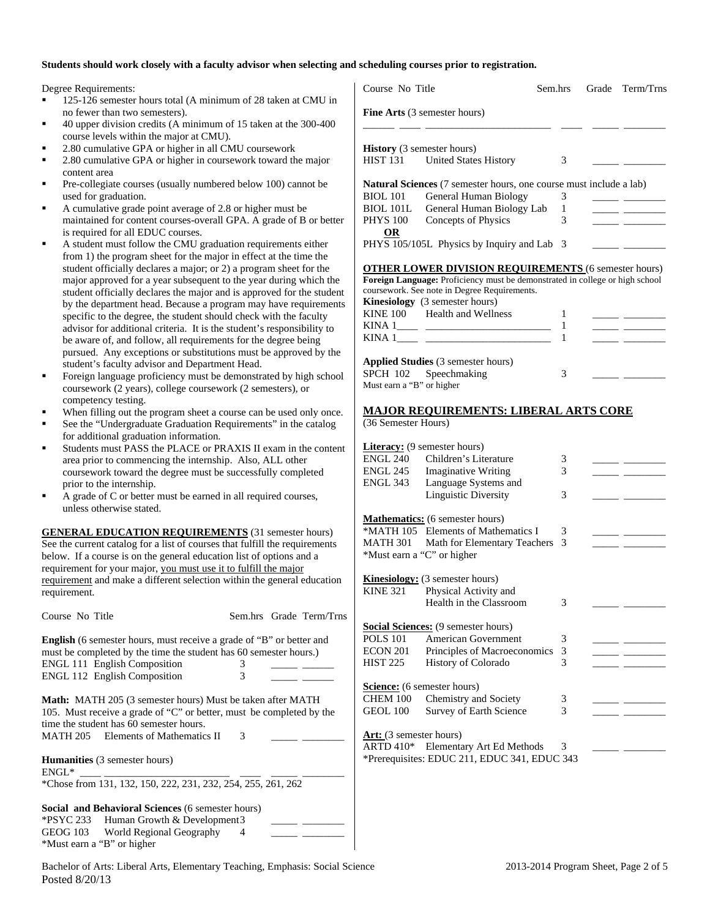#### **Students should work closely with a faculty advisor when selecting and scheduling courses prior to registration.**

Degree Requirements:

- 125-126 semester hours total (A minimum of 28 taken at CMU in no fewer than two semesters).
- 40 upper division credits (A minimum of 15 taken at the 300-400 course levels within the major at CMU).
- 2.80 cumulative GPA or higher in all CMU coursework
- 2.80 cumulative GPA or higher in coursework toward the major content area
- Pre-collegiate courses (usually numbered below 100) cannot be used for graduation.
- A cumulative grade point average of 2.8 or higher must be maintained for content courses-overall GPA. A grade of B or better is required for all EDUC courses.
- A student must follow the CMU graduation requirements either from 1) the program sheet for the major in effect at the time the student officially declares a major; or 2) a program sheet for the major approved for a year subsequent to the year during which the student officially declares the major and is approved for the studen by the department head. Because a program may have requirement specific to the degree, the student should check with the faculty advisor for additional criteria. It is the student's responsibility to be aware of, and follow, all requirements for the degree being pursued. Any exceptions or substitutions must be approved by the student's faculty advisor and Department Head.
- Foreign language proficiency must be demonstrated by high school coursework (2 years), college coursework (2 semesters), or competency testing.
- When filling out the program sheet a course can be used only once.
- See the "Undergraduate Graduation Requirements" in the catalog for additional graduation information.
- Students must PASS the PLACE or PRAXIS II exam in the conten area prior to commencing the internship. Also, ALL other coursework toward the degree must be successfully completed prior to the internship.
- A grade of C or better must be earned in all required courses, unless otherwise stated.

**GENERAL EDUCATION REQUIREMENTS** (31 semester hours) See the current catalog for a list of courses that fulfill the requirements below. If a course is on the general education list of options and a requirement for your major, you must use it to fulfill the major requirement and make a different selection within the general education requirement.

Course No Title Sem.hrs Grade Term/Trn **English** (6 semester hours, must receive a grade of "B" or better and must be completed by the time the student has 60 semester hours.) ENGL 111 English Composition 3 \_\_\_\_\_ \_\_\_\_\_\_ ENGL 112 English Composition 3 \_\_\_\_\_ \_\_\_\_\_\_ **Math:** MATH 205 (3 semester hours) Must be taken after MATH

105. Must receive a grade of "C" or better, must be completed by the time the student has 60 semester hours. MATH 205 Elements of Mathematics II  $\qquad$  3

**Humanities** (3 semester hours) ENGL\* \_\_\_\_ \_\_\_\_\_\_\_\_\_\_\_\_\_\_\_\_\_\_\_\_\_\_\_\_ \_\_\_\_ \_\_\_\_\_ \_\_\_\_\_\_\_\_

\*Chose from 131, 132, 150, 222, 231, 232, 254, 255, 261, 262

**Social and Behavioral Sciences** (6 semester hours) \*PSYC 233 Human Growth & Development 3 \_\_\_\_\_ \_\_\_\_\_\_\_\_ GEOG 103 World Regional Geography 4 \*Must earn a "B" or higher

|                                                    | Course No Title                                                                                                              | Sem.hrs | Grade | Term/Trns                                                                          |
|----------------------------------------------------|------------------------------------------------------------------------------------------------------------------------------|---------|-------|------------------------------------------------------------------------------------|
|                                                    | Fine Arts (3 semester hours)                                                                                                 |         |       |                                                                                    |
|                                                    | <b>History</b> (3 semester hours)                                                                                            |         |       |                                                                                    |
|                                                    | HIST 131 United States History                                                                                               | 3       |       |                                                                                    |
|                                                    | <b>Natural Sciences</b> (7 semester hours, one course must include a lab)                                                    |         |       |                                                                                    |
| <b>BIOL</b> 101<br>BIOL 101L                       | <b>General Human Biology</b><br>General Human Biology Lab                                                                    | 3<br>1  |       |                                                                                    |
| <b>PHYS 100</b>                                    | Concepts of Physics                                                                                                          | 3       |       | <b>Contract Contract Contract</b><br><u> 1989 - Jan Barbara Barat, prima posta</u> |
| <b>OR</b>                                          | PHYS 105/105L Physics by Inquiry and Lab 3                                                                                   |         |       |                                                                                    |
|                                                    | <b>OTHER LOWER DIVISION REQUIREMENTS</b> (6 semester hours)                                                                  |         |       |                                                                                    |
|                                                    | Foreign Language: Proficiency must be demonstrated in college or high school<br>coursework. See note in Degree Requirements. |         |       |                                                                                    |
|                                                    | Kinesiology (3 semester hours)                                                                                               |         |       |                                                                                    |
|                                                    | KINE 100 Health and Wellness                                                                                                 | 1       |       |                                                                                    |
|                                                    |                                                                                                                              | 1<br>1  |       |                                                                                    |
|                                                    |                                                                                                                              |         |       |                                                                                    |
|                                                    | Applied Studies (3 semester hours)                                                                                           |         |       |                                                                                    |
| <b>SPCH 102</b>                                    | Speechmaking                                                                                                                 | 3       |       |                                                                                    |
| Must earn a "B" or higher                          |                                                                                                                              |         |       |                                                                                    |
|                                                    | <b>MAJOR REQUIREMENTS: LIBERAL ARTS CORE</b>                                                                                 |         |       |                                                                                    |
| (36 Semester Hours)                                |                                                                                                                              |         |       |                                                                                    |
|                                                    | <b>Literacy:</b> (9 semester hours)                                                                                          |         |       |                                                                                    |
|                                                    | ENGL 240 Children's Literature                                                                                               | 3       |       |                                                                                    |
| <b>ENGL 245</b>                                    | <b>Imaginative Writing</b>                                                                                                   | 3       |       |                                                                                    |
| ENGL 343                                           | Language Systems and                                                                                                         |         |       |                                                                                    |
|                                                    | Linguistic Diversity                                                                                                         | 3       |       |                                                                                    |
|                                                    | <b>Mathematics:</b> (6 semester hours)                                                                                       |         |       |                                                                                    |
|                                                    | *MATH 105 Elements of Mathematics I                                                                                          | 3       |       |                                                                                    |
|                                                    | MATH 301 Math for Elementary Teachers<br>*Must earn a "C" or higher                                                          | 3       |       |                                                                                    |
|                                                    | <b>Kinesiology:</b> (3 semester hours)                                                                                       |         |       |                                                                                    |
| <b>KINE 321</b>                                    | Physical Activity and                                                                                                        |         |       |                                                                                    |
|                                                    | Health in the Classroom                                                                                                      | 3       |       |                                                                                    |
|                                                    | Social Sciences: (9 semester hours)                                                                                          |         |       |                                                                                    |
| <b>POLS 101</b>                                    | American Government                                                                                                          | 3       |       |                                                                                    |
| <b>ECON 201</b>                                    | Principles of Macroeconomics                                                                                                 | 3       |       |                                                                                    |
| <b>HIST 225</b>                                    | History of Colorado                                                                                                          | 3       |       |                                                                                    |
|                                                    | <b>Science:</b> (6 semester hours)                                                                                           |         |       |                                                                                    |
| <b>CHEM 100</b>                                    | Chemistry and Society                                                                                                        | 3       |       |                                                                                    |
| <b>GEOL 100</b>                                    | Survey of Earth Science                                                                                                      | 3       |       |                                                                                    |
|                                                    |                                                                                                                              |         |       |                                                                                    |
|                                                    |                                                                                                                              |         |       |                                                                                    |
| <b>Art:</b> (3 semester hours)<br><b>ARTD 410*</b> | Elementary Art Ed Methods<br>*Prerequisites: EDUC 211, EDUC 341, EDUC 343                                                    | 3       |       |                                                                                    |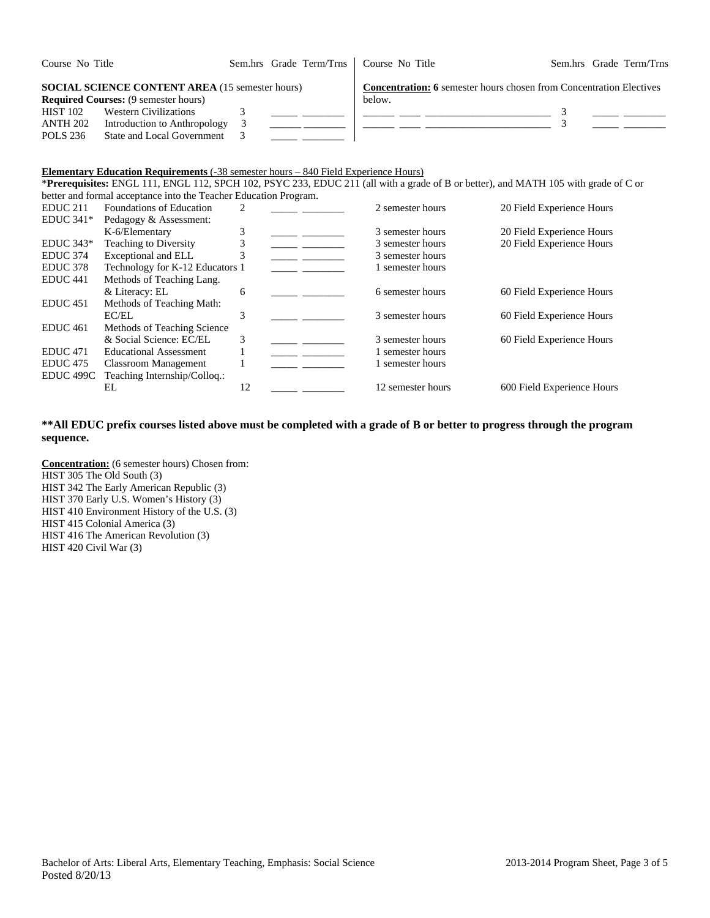| Course No Title                                                                                                                                                                                                                                       | Sem.hrs Grade Term/Trns   Course No Title |                                                                                      | Sem.hrs Grade Term/Trns |  |  |  |
|-------------------------------------------------------------------------------------------------------------------------------------------------------------------------------------------------------------------------------------------------------|-------------------------------------------|--------------------------------------------------------------------------------------|-------------------------|--|--|--|
| <b>SOCIAL SCIENCE CONTENT AREA (15 semester hours)</b><br><b>Required Courses:</b> (9 semester hours)<br><b>HIST 102</b><br><b>Western Civilizations</b><br>Introduction to Anthropology<br>ANTH 202<br><b>State and Local Government</b><br>POLS 236 | 3                                         | <b>Concentration: 6</b> semester hours chosen from Concentration Electives<br>below. |                         |  |  |  |
| <b>Flementary Education Requirements</b> $(.38$ semester hours $= 840$ Field Experience Hours)                                                                                                                                                        |                                           |                                                                                      |                         |  |  |  |

#### **Elementary Education Requirements** (-38 semester hours – 840 Field Experience Hours)

\***Prerequisites:** ENGL 111, ENGL 112, SPCH 102, PSYC 233, EDUC 211 (all with a grade of B or better), and MATH 105 with grade of C or better and formal acceptance into the Teacher Education Program. EDUC 211 Foundations of Education 2 2 semester hours 2 2 semester hours 20 Field Experience Hours EDUC 341\* Pedagogy & Assessment: K-6/Elementary 3 \_\_\_\_\_ \_\_\_\_\_\_\_\_ 3 semester hours 20 Field Experience Hours EDUC 343\* Teaching to Diversity 3 \_\_\_\_\_ \_\_\_\_\_\_\_\_\_ 3 semester hours 20 Field Experience Hours<br>EDUC 374 Exceptional and ELL 3 \_\_\_\_\_\_\_\_ 3 semester hours 3 semester hours EDUC 374 Exceptional and ELL 3 \_\_\_\_\_ \_\_\_\_\_\_\_\_ 3 semester hours EDUC 378 Technology for K-12 Educators 1 \_\_\_\_\_\_\_\_\_\_\_\_\_\_\_\_\_\_\_\_\_\_\_\_ 1 semester hours<br>EDUC 441 Methods of Teaching Lang. Methods of Teaching Lang.<br>& Literacy: EL & Literacy: EL 6 \_\_\_\_\_ \_\_\_\_\_\_\_\_ 6 semester hours 60 Field Experience Hours EDUC 451 Methods of Teaching Math: EC/EL 3 \_\_\_\_\_ 3 semester hours 60 Field Experience Hours EDUC 461 Methods of Teaching Science & Social Science: EC/EL 3 \_\_\_\_\_ \_\_\_\_\_\_\_\_ 3 semester hours 60 Field Experience Hours EDUC 471 Educational Assessment 1 1 and 1 semester hours EDUC 475 Classroom Management 1 \_\_\_\_\_ \_\_\_\_\_\_\_ 1 semester hours EDUC 499C Teaching Internship/Colloq.: EL 12 \_\_\_\_\_ 12 semester hours 600 Field Experience Hours

# **\*\*All EDUC prefix courses listed above must be completed with a grade of B or better to progress through the program sequence.**

**Concentration:** (6 semester hours) Chosen from: HIST 305 The Old South (3) HIST 342 The Early American Republic (3) HIST 370 Early U.S. Women's History (3) HIST 410 Environment History of the U.S. (3) HIST 415 Colonial America (3) HIST 416 The American Revolution (3) HIST 420 Civil War (3)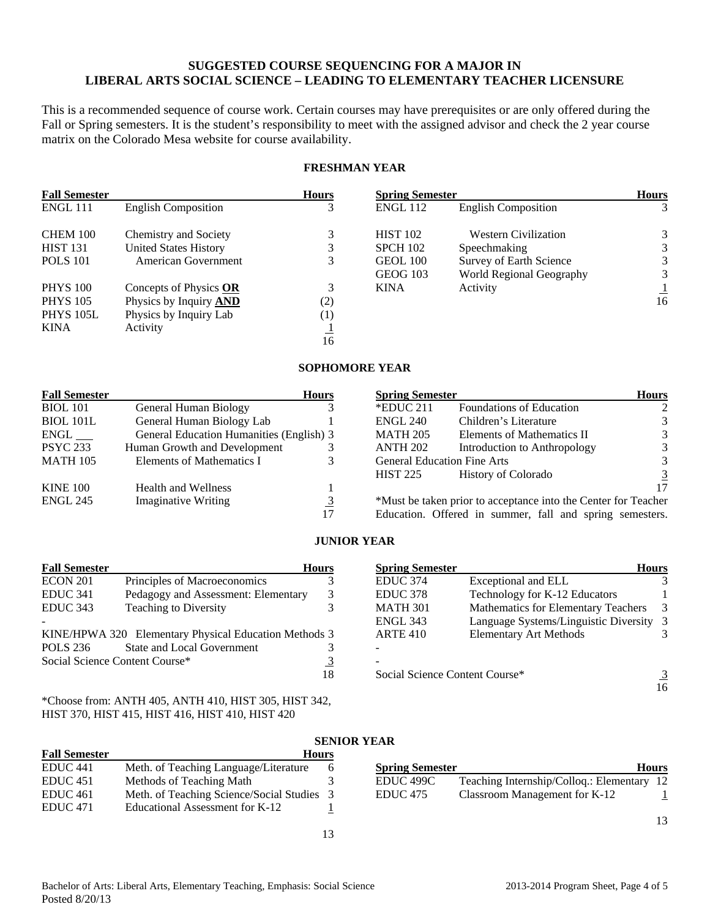# **SUGGESTED COURSE SEQUENCING FOR A MAJOR IN LIBERAL ARTS SOCIAL SCIENCE – LEADING TO ELEMENTARY TEACHER LICENSURE**

This is a recommended sequence of course work. Certain courses may have prerequisites or are only offered during the Fall or Spring semesters. It is the student's responsibility to meet with the assigned advisor and check the 2 year course matrix on the Colorado Mesa website for course availability.

# **FRESHMAN YEAR**

| <b>Fall Semester</b> |                               | <b>Hours</b> | <b>Spring Semester</b> |                             | <b>Hours</b> |
|----------------------|-------------------------------|--------------|------------------------|-----------------------------|--------------|
| ENGL 111             | <b>English Composition</b>    | 3            | <b>ENGL 112</b>        | <b>English Composition</b>  | 3            |
| CHEM 100             | Chemistry and Society         | 3            | <b>HIST 102</b>        | <b>Western Civilization</b> | 3            |
| <b>HIST 131</b>      | <b>United States History</b>  | 3            | <b>SPCH 102</b>        | Speechmaking                | 3            |
| <b>POLS</b> 101      | American Government           | 3            | <b>GEOL 100</b>        | Survey of Earth Science     | 3            |
|                      |                               |              | <b>GEOG 103</b>        | World Regional Geography    | 3            |
| <b>PHYS</b> 100      | Concepts of Physics OR        | 3            | <b>KINA</b>            | Activity                    |              |
| <b>PHYS 105</b>      | Physics by Inquiry <b>AND</b> | (2)          |                        |                             | 16           |
| <b>PHYS 105L</b>     | Physics by Inquiry Lab        | $^{(1)}$     |                        |                             |              |
| <b>KINA</b>          | Activity                      |              |                        |                             |              |
|                      |                               | 16           |                        |                             |              |

# **SOPHOMORE YEAR**

| <b>Fall Semester</b> | <b>Hours</b>                             |                | <b>Spring Semester</b>             |                                                                | <b>Hours</b>  |
|----------------------|------------------------------------------|----------------|------------------------------------|----------------------------------------------------------------|---------------|
| <b>BIOL</b> 101      | General Human Biology                    |                | $*$ EDUC 211                       | Foundations of Education                                       | $\mathcal{L}$ |
| <b>BIOL 101L</b>     | General Human Biology Lab                |                | <b>ENGL 240</b>                    | Children's Literature                                          | 3             |
|                      | General Education Humanities (English) 3 |                | <b>MATH 205</b>                    | Elements of Mathematics II                                     | 3             |
| <b>PSYC 233</b>      | Human Growth and Development             |                | <b>ANTH 202</b>                    | Introduction to Anthropology                                   | 3             |
| <b>MATH 105</b>      | Elements of Mathematics I                |                | <b>General Education Fine Arts</b> |                                                                | 3             |
|                      |                                          |                | <b>HIST 225</b>                    | <b>History of Colorado</b>                                     | 3             |
| <b>KINE 100</b>      | <b>Health and Wellness</b>               |                |                                    |                                                                | 17            |
| <b>ENGL 245</b>      | <b>Imaginative Writing</b>               | $\overline{3}$ |                                    | *Must be taken prior to acceptance into the Center for Teacher |               |
|                      |                                          | 17             |                                    | Education. Offered in summer, fall and spring semesters.       |               |

# **JUNIOR YEAR**

| <b>Fall Semester</b>           |                                                       | <b>Hours</b> | <b>Spring Semester</b>         | <b>Hours</b>                            |  |
|--------------------------------|-------------------------------------------------------|--------------|--------------------------------|-----------------------------------------|--|
| ECON 201                       | Principles of Macroeconomics                          |              | EDUC 374                       | Exceptional and ELL                     |  |
| EDUC 341                       | Pedagogy and Assessment: Elementary                   |              | EDUC <sub>378</sub>            | Technology for K-12 Educators           |  |
| EDUC 343                       | <b>Teaching to Diversity</b>                          |              | <b>MATH 301</b>                | Mathematics for Elementary Teachers 3   |  |
|                                |                                                       |              | <b>ENGL 343</b>                | Language Systems/Linguistic Diversity 3 |  |
|                                | KINE/HPWA 320 Elementary Physical Education Methods 3 |              | <b>ARTE 410</b>                | <b>Elementary Art Methods</b>           |  |
| POLS 236                       | <b>State and Local Government</b>                     |              |                                |                                         |  |
| Social Science Content Course* |                                                       |              |                                |                                         |  |
|                                |                                                       | 18           | Social Science Content Course* |                                         |  |

HIST 370, HIST 415, HIST 416, HIST 410, HIST 420

# \*Choose from: ANTH 405, ANTH 410, HIST 305, HIST 342,

| EINUL 343                      | Language Systems/Linguistic Diversity | $\cdot$ |
|--------------------------------|---------------------------------------|---------|
| <b>ARTE 410</b>                | <b>Elementary Art Methods</b>         |         |
|                                |                                       |         |
|                                |                                       |         |
| Social Science Content Course* |                                       |         |
|                                |                                       |         |
|                                |                                       |         |
|                                |                                       |         |

| <b>SENIOR YEAR</b>   |                                            |    |                        |                                            |              |  |
|----------------------|--------------------------------------------|----|------------------------|--------------------------------------------|--------------|--|
| <b>Fall Semester</b> | <b>Hours</b>                               |    |                        |                                            |              |  |
| EDUC <sub>441</sub>  | Meth. of Teaching Language/Literature      | -6 | <b>Spring Semester</b> |                                            | <b>Hours</b> |  |
| EDUC <sub>451</sub>  | Methods of Teaching Math                   |    | EDUC <sub>499C</sub>   | Teaching Internship/Colloq.: Elementary 12 |              |  |
| EDUC <sub>461</sub>  | Meth. of Teaching Science/Social Studies 3 |    | EDUC <sub>475</sub>    | Classroom Management for K-12              |              |  |
| <b>EDUC</b> 471      | Educational Assessment for K-12            |    |                        |                                            |              |  |
|                      |                                            |    |                        |                                            | 13           |  |